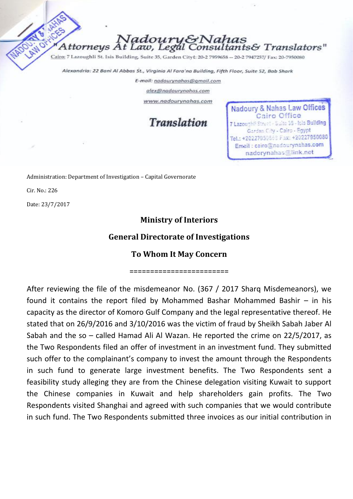Nadoury&Nahas ttorneys At Law, Legal Consultants& Translators"

Cairo: 7 Lazoughli St. Isis Building, Suite 35, Garden Cityt: 20-2 7959658 -- 20-2 7947257/ Fax: 20-7950080

Alexandria: 22 Bani Al Abbas St., Virginia Al Fara'na Building, Fifth Floor, Suite 52, Bab Shark

E-mail: nadourynahas@gmail.com

alex@nadourynahas.com

www.nadourynahas.com

**Translation** 

Nadoury & Nahas Law Offices Cairo Office 7 Lazoughli Street - Suite 35 - Isls Building Garden City - Cairo - Egypt Tel.: +20227959568 Fax: +20227950080 Email: cairo@nadourynahas.com nadorynahas@link.net

Administration: Department of Investigation – Capital Governorate

Cir. No.: 226

Date: 23/7/2017

## **Ministry of Interiors**

## **General Directorate of Investigations**

## **To Whom It May Concern**

========================

After reviewing the file of the misdemeanor No. (367 / 2017 Sharq Misdemeanors), we found it contains the report filed by Mohammed Bashar Mohammed Bashir – in his capacity as the director of Komoro Gulf Company and the legal representative thereof. He stated that on 26/9/2016 and 3/10/2016 was the victim of fraud by Sheikh Sabah Jaber Al Sabah and the so – called Hamad Ali Al Wazan. He reported the crime on 22/5/2017, as the Two Respondents filed an offer of investment in an investment fund. They submitted such offer to the complainant's company to invest the amount through the Respondents in such fund to generate large investment benefits. The Two Respondents sent a feasibility study alleging they are from the Chinese delegation visiting Kuwait to support the Chinese companies in Kuwait and help shareholders gain profits. The Two Respondents visited Shanghai and agreed with such companies that we would contribute in such fund. The Two Respondents submitted three invoices as our initial contribution in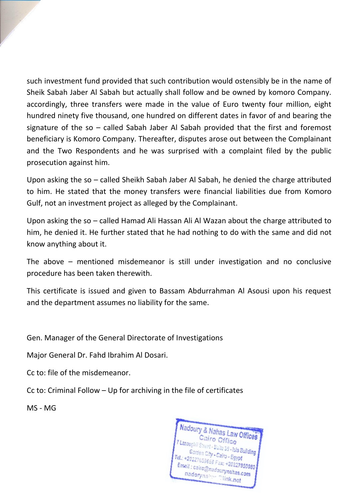such investment fund provided that such contribution would ostensibly be in the name of Sheik Sabah Jaber Al Sabah but actually shall follow and be owned by komoro Company. accordingly, three transfers were made in the value of Euro twenty four million, eight hundred ninety five thousand, one hundred on different dates in favor of and bearing the signature of the so – called Sabah Jaber Al Sabah provided that the first and foremost beneficiary is Komoro Company. Thereafter, disputes arose out between the Complainant and the Two Respondents and he was surprised with a complaint filed by the public prosecution against him.

Upon asking the so – called Sheikh Sabah Jaber Al Sabah, he denied the charge attributed to him. He stated that the money transfers were financial liabilities due from Komoro Gulf, not an investment project as alleged by the Complainant.

Upon asking the so – called Hamad Ali Hassan Ali Al Wazan about the charge attributed to him, he denied it. He further stated that he had nothing to do with the same and did not know anything about it.

The above – mentioned misdemeanor is still under investigation and no conclusive procedure has been taken therewith.

This certificate is issued and given to Bassam Abdurrahman Al Asousi upon his request and the department assumes no liability for the same.

Gen. Manager of the General Directorate of Investigations

Major General Dr. Fahd Ibrahim Al Dosari.

Cc to: file of the misdemeanor.

Cc to: Criminal Follow – Up for archiving in the file of certificates

MS - MG